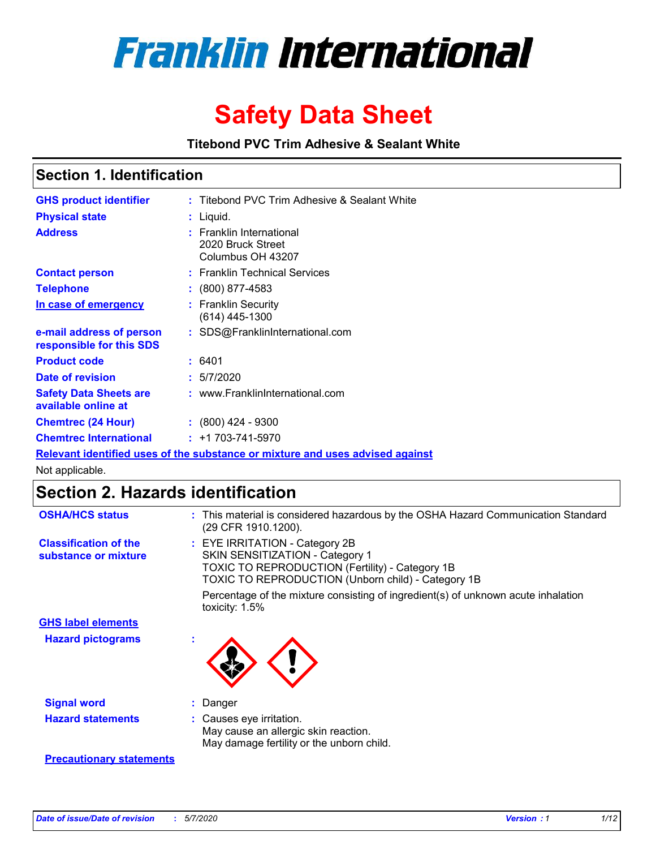

# **Safety Data Sheet**

**Titebond PVC Trim Adhesive & Sealant White**

### **Section 1. Identification**

| <b>GHS product identifier</b>                        | : Titebond PVC Trim Adhesive & Sealant White                                  |
|------------------------------------------------------|-------------------------------------------------------------------------------|
| <b>Physical state</b>                                | : Liquid.                                                                     |
| <b>Address</b>                                       | <b>Franklin International</b><br>2020 Bruck Street<br>Columbus OH 43207       |
| <b>Contact person</b>                                | : Franklin Technical Services                                                 |
| <b>Telephone</b>                                     | $\colon$ (800) 877-4583                                                       |
| In case of emergency                                 | : Franklin Security<br>(614) 445-1300                                         |
| e-mail address of person<br>responsible for this SDS | : SDS@FranklinInternational.com                                               |
| <b>Product code</b>                                  | : 6401                                                                        |
| Date of revision                                     | : 5/7/2020                                                                    |
| <b>Safety Data Sheets are</b><br>available online at | : www.FranklinInternational.com                                               |
| <b>Chemtrec (24 Hour)</b>                            | $: (800)$ 424 - 9300                                                          |
| <b>Chemtrec International</b>                        | $: +1703 - 741 - 5970$                                                        |
|                                                      | Relevant identified uses of the substance or mixture and uses advised against |

Not applicable.

# **Section 2. Hazards identification**

| <b>OSHA/HCS status</b>                               | : This material is considered hazardous by the OSHA Hazard Communication Standard<br>(29 CFR 1910.1200).                                                                                 |
|------------------------------------------------------|------------------------------------------------------------------------------------------------------------------------------------------------------------------------------------------|
| <b>Classification of the</b><br>substance or mixture | : EYE IRRITATION - Category 2B<br>SKIN SENSITIZATION - Category 1<br><b>TOXIC TO REPRODUCTION (Fertility) - Category 1B</b><br><b>TOXIC TO REPRODUCTION (Unborn child) - Category 1B</b> |
|                                                      | Percentage of the mixture consisting of ingredient(s) of unknown acute inhalation<br>toxicity: $1.5\%$                                                                                   |
| <b>GHS label elements</b>                            |                                                                                                                                                                                          |
| <b>Hazard pictograms</b>                             |                                                                                                                                                                                          |
| <b>Signal word</b>                                   | : Danger                                                                                                                                                                                 |
| <b>Hazard statements</b>                             | : Causes eye irritation.<br>May cause an allergic skin reaction.<br>May damage fertility or the unborn child.                                                                            |
| <b>Precautionary statements</b>                      |                                                                                                                                                                                          |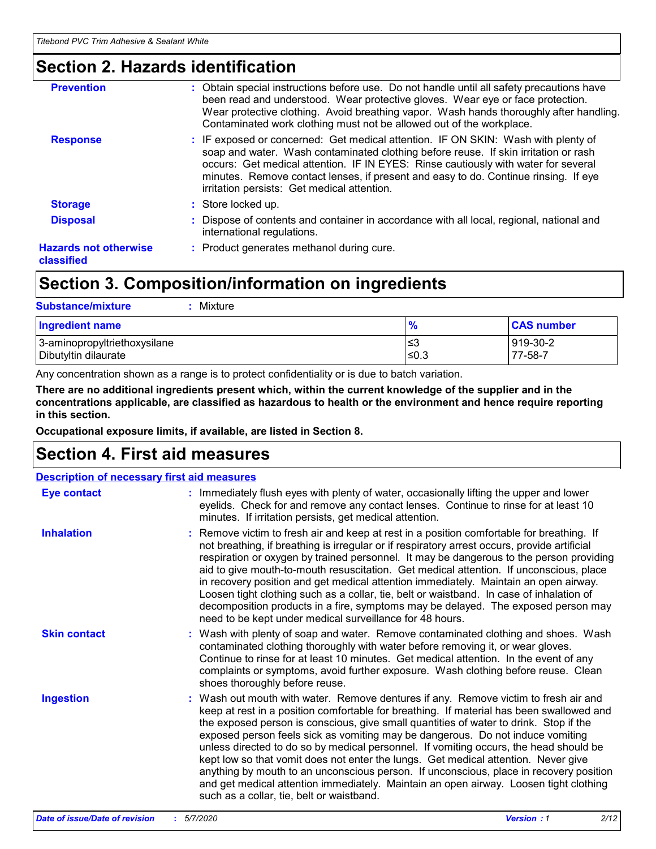### **Section 2. Hazards identification**

| <b>Prevention</b>                          | : Obtain special instructions before use. Do not handle until all safety precautions have<br>been read and understood. Wear protective gloves. Wear eye or face protection.<br>Wear protective clothing. Avoid breathing vapor. Wash hands thoroughly after handling.<br>Contaminated work clothing must not be allowed out of the workplace.                                                        |
|--------------------------------------------|------------------------------------------------------------------------------------------------------------------------------------------------------------------------------------------------------------------------------------------------------------------------------------------------------------------------------------------------------------------------------------------------------|
| <b>Response</b>                            | : IF exposed or concerned: Get medical attention. IF ON SKIN: Wash with plenty of<br>soap and water. Wash contaminated clothing before reuse. If skin irritation or rash<br>occurs: Get medical attention. IF IN EYES: Rinse cautiously with water for several<br>minutes. Remove contact lenses, if present and easy to do. Continue rinsing. If eye<br>irritation persists: Get medical attention. |
| <b>Storage</b>                             | : Store locked up.                                                                                                                                                                                                                                                                                                                                                                                   |
| <b>Disposal</b>                            | : Dispose of contents and container in accordance with all local, regional, national and<br>international regulations.                                                                                                                                                                                                                                                                               |
| <b>Hazards not otherwise</b><br>classified | : Product generates methanol during cure.                                                                                                                                                                                                                                                                                                                                                            |

# **Section 3. Composition/information on ingredients**

| <b>Substance/mixture</b><br>Mixture                  |                   |                     |
|------------------------------------------------------|-------------------|---------------------|
| <b>Ingredient name</b>                               | $\frac{9}{6}$     | <b>CAS number</b>   |
| 3-aminopropyltriethoxysilane<br>Dibutyltin dilaurate | l≤3<br>$\leq 0.3$ | 919-30-2<br>77-58-7 |

Any concentration shown as a range is to protect confidentiality or is due to batch variation.

**There are no additional ingredients present which, within the current knowledge of the supplier and in the concentrations applicable, are classified as hazardous to health or the environment and hence require reporting in this section.**

**Occupational exposure limits, if available, are listed in Section 8.**

## **Section 4. First aid measures**

| <b>Description of necessary first aid measures</b> |                                                                                                                                                                                                                                                                                                                                                                                                                                                                                                                                                                                                                                                                                                                                                                           |  |  |  |
|----------------------------------------------------|---------------------------------------------------------------------------------------------------------------------------------------------------------------------------------------------------------------------------------------------------------------------------------------------------------------------------------------------------------------------------------------------------------------------------------------------------------------------------------------------------------------------------------------------------------------------------------------------------------------------------------------------------------------------------------------------------------------------------------------------------------------------------|--|--|--|
| <b>Eye contact</b>                                 | : Immediately flush eyes with plenty of water, occasionally lifting the upper and lower<br>eyelids. Check for and remove any contact lenses. Continue to rinse for at least 10<br>minutes. If irritation persists, get medical attention.                                                                                                                                                                                                                                                                                                                                                                                                                                                                                                                                 |  |  |  |
| <b>Inhalation</b>                                  | : Remove victim to fresh air and keep at rest in a position comfortable for breathing. If<br>not breathing, if breathing is irregular or if respiratory arrest occurs, provide artificial<br>respiration or oxygen by trained personnel. It may be dangerous to the person providing<br>aid to give mouth-to-mouth resuscitation. Get medical attention. If unconscious, place<br>in recovery position and get medical attention immediately. Maintain an open airway.<br>Loosen tight clothing such as a collar, tie, belt or waistband. In case of inhalation of<br>decomposition products in a fire, symptoms may be delayed. The exposed person may<br>need to be kept under medical surveillance for 48 hours.                                                       |  |  |  |
| <b>Skin contact</b>                                | : Wash with plenty of soap and water. Remove contaminated clothing and shoes. Wash<br>contaminated clothing thoroughly with water before removing it, or wear gloves.<br>Continue to rinse for at least 10 minutes. Get medical attention. In the event of any<br>complaints or symptoms, avoid further exposure. Wash clothing before reuse. Clean<br>shoes thoroughly before reuse.                                                                                                                                                                                                                                                                                                                                                                                     |  |  |  |
| <b>Ingestion</b>                                   | : Wash out mouth with water. Remove dentures if any. Remove victim to fresh air and<br>keep at rest in a position comfortable for breathing. If material has been swallowed and<br>the exposed person is conscious, give small quantities of water to drink. Stop if the<br>exposed person feels sick as vomiting may be dangerous. Do not induce vomiting<br>unless directed to do so by medical personnel. If vomiting occurs, the head should be<br>kept low so that vomit does not enter the lungs. Get medical attention. Never give<br>anything by mouth to an unconscious person. If unconscious, place in recovery position<br>and get medical attention immediately. Maintain an open airway. Loosen tight clothing<br>such as a collar, tie, belt or waistband. |  |  |  |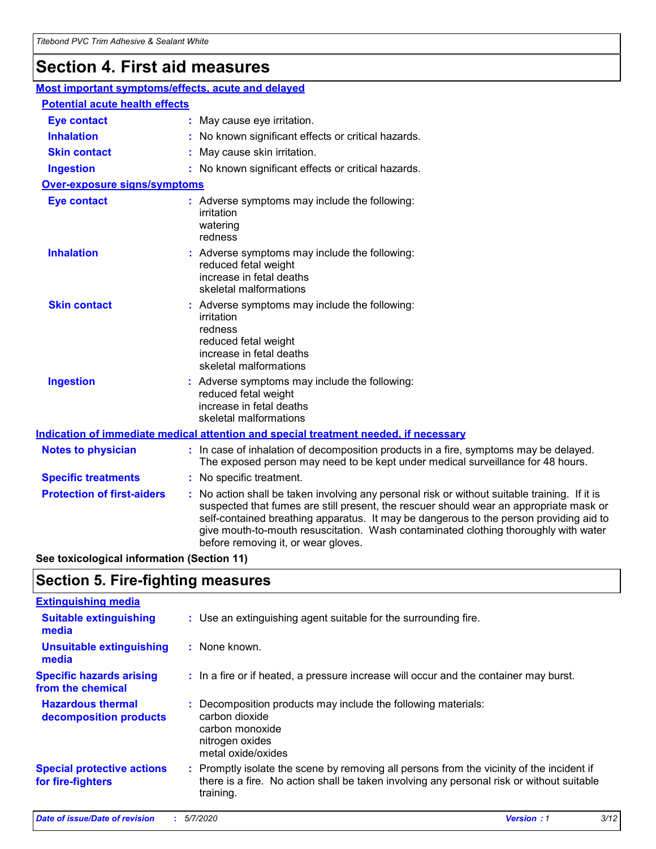# **Section 4. First aid measures**

| Most important symptoms/effects, acute and delayed |  |                                                                                                                                                                                                                                                                                                                                                                                                                 |
|----------------------------------------------------|--|-----------------------------------------------------------------------------------------------------------------------------------------------------------------------------------------------------------------------------------------------------------------------------------------------------------------------------------------------------------------------------------------------------------------|
| <b>Potential acute health effects</b>              |  |                                                                                                                                                                                                                                                                                                                                                                                                                 |
| <b>Eye contact</b>                                 |  | : May cause eye irritation.                                                                                                                                                                                                                                                                                                                                                                                     |
| <b>Inhalation</b>                                  |  | : No known significant effects or critical hazards.                                                                                                                                                                                                                                                                                                                                                             |
| <b>Skin contact</b>                                |  | : May cause skin irritation.                                                                                                                                                                                                                                                                                                                                                                                    |
| <b>Ingestion</b>                                   |  | : No known significant effects or critical hazards.                                                                                                                                                                                                                                                                                                                                                             |
| <b>Over-exposure signs/symptoms</b>                |  |                                                                                                                                                                                                                                                                                                                                                                                                                 |
| <b>Eye contact</b>                                 |  | : Adverse symptoms may include the following:<br>irritation<br>watering<br>redness                                                                                                                                                                                                                                                                                                                              |
| <b>Inhalation</b>                                  |  | : Adverse symptoms may include the following:<br>reduced fetal weight<br>increase in fetal deaths<br>skeletal malformations                                                                                                                                                                                                                                                                                     |
| <b>Skin contact</b>                                |  | : Adverse symptoms may include the following:<br>irritation<br>redness<br>reduced fetal weight<br>increase in fetal deaths<br>skeletal malformations                                                                                                                                                                                                                                                            |
| <b>Ingestion</b>                                   |  | : Adverse symptoms may include the following:<br>reduced fetal weight<br>increase in fetal deaths<br>skeletal malformations                                                                                                                                                                                                                                                                                     |
|                                                    |  | <b>Indication of immediate medical attention and special treatment needed, if necessary</b>                                                                                                                                                                                                                                                                                                                     |
| <b>Notes to physician</b>                          |  | : In case of inhalation of decomposition products in a fire, symptoms may be delayed.<br>The exposed person may need to be kept under medical surveillance for 48 hours.                                                                                                                                                                                                                                        |
| <b>Specific treatments</b>                         |  | : No specific treatment.                                                                                                                                                                                                                                                                                                                                                                                        |
| <b>Protection of first-aiders</b>                  |  | : No action shall be taken involving any personal risk or without suitable training. If it is<br>suspected that fumes are still present, the rescuer should wear an appropriate mask or<br>self-contained breathing apparatus. It may be dangerous to the person providing aid to<br>give mouth-to-mouth resuscitation. Wash contaminated clothing thoroughly with water<br>before removing it, or wear gloves. |

**See toxicological information (Section 11)**

### **Section 5. Fire-fighting measures**

| <b>Extinguishing media</b>                             |                                                                                                                                                                                                     |
|--------------------------------------------------------|-----------------------------------------------------------------------------------------------------------------------------------------------------------------------------------------------------|
| <b>Suitable extinguishing</b><br>media                 | : Use an extinguishing agent suitable for the surrounding fire.                                                                                                                                     |
| <b>Unsuitable extinguishing</b><br>media               | : None known.                                                                                                                                                                                       |
| <b>Specific hazards arising</b><br>from the chemical   | : In a fire or if heated, a pressure increase will occur and the container may burst.                                                                                                               |
| <b>Hazardous thermal</b><br>decomposition products     | : Decomposition products may include the following materials:<br>carbon dioxide<br>carbon monoxide<br>nitrogen oxides<br>metal oxide/oxides                                                         |
| <b>Special protective actions</b><br>for fire-fighters | : Promptly isolate the scene by removing all persons from the vicinity of the incident if<br>there is a fire. No action shall be taken involving any personal risk or without suitable<br>training. |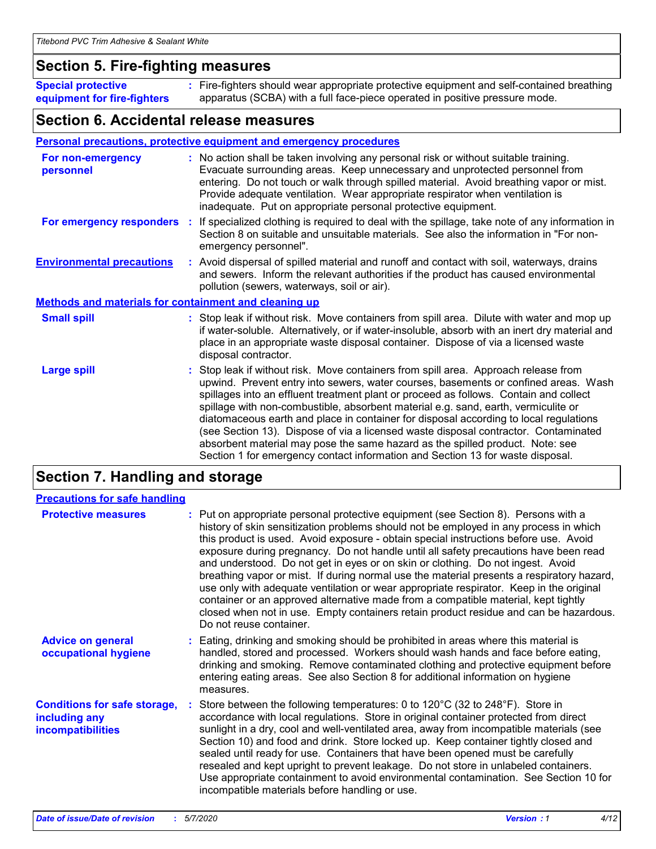### **Section 5. Fire-fighting measures**

**Special protective equipment for fire-fighters** Fire-fighters should wear appropriate protective equipment and self-contained breathing **:** apparatus (SCBA) with a full face-piece operated in positive pressure mode.

### **Section 6. Accidental release measures**

#### **Personal precautions, protective equipment and emergency procedures**

| For non-emergency<br>personnel                               | : No action shall be taken involving any personal risk or without suitable training.<br>Evacuate surrounding areas. Keep unnecessary and unprotected personnel from<br>entering. Do not touch or walk through spilled material. Avoid breathing vapor or mist.<br>Provide adequate ventilation. Wear appropriate respirator when ventilation is<br>inadequate. Put on appropriate personal protective equipment.                                                                                                                                                                                                                                                                                             |
|--------------------------------------------------------------|--------------------------------------------------------------------------------------------------------------------------------------------------------------------------------------------------------------------------------------------------------------------------------------------------------------------------------------------------------------------------------------------------------------------------------------------------------------------------------------------------------------------------------------------------------------------------------------------------------------------------------------------------------------------------------------------------------------|
|                                                              | For emergency responders : If specialized clothing is required to deal with the spillage, take note of any information in<br>Section 8 on suitable and unsuitable materials. See also the information in "For non-<br>emergency personnel".                                                                                                                                                                                                                                                                                                                                                                                                                                                                  |
| <b>Environmental precautions</b>                             | : Avoid dispersal of spilled material and runoff and contact with soil, waterways, drains<br>and sewers. Inform the relevant authorities if the product has caused environmental<br>pollution (sewers, waterways, soil or air).                                                                                                                                                                                                                                                                                                                                                                                                                                                                              |
| <b>Methods and materials for containment and cleaning up</b> |                                                                                                                                                                                                                                                                                                                                                                                                                                                                                                                                                                                                                                                                                                              |
| <b>Small spill</b>                                           | : Stop leak if without risk. Move containers from spill area. Dilute with water and mop up<br>if water-soluble. Alternatively, or if water-insoluble, absorb with an inert dry material and<br>place in an appropriate waste disposal container. Dispose of via a licensed waste<br>disposal contractor.                                                                                                                                                                                                                                                                                                                                                                                                     |
| <b>Large spill</b>                                           | : Stop leak if without risk. Move containers from spill area. Approach release from<br>upwind. Prevent entry into sewers, water courses, basements or confined areas. Wash<br>spillages into an effluent treatment plant or proceed as follows. Contain and collect<br>spillage with non-combustible, absorbent material e.g. sand, earth, vermiculite or<br>diatomaceous earth and place in container for disposal according to local regulations<br>(see Section 13). Dispose of via a licensed waste disposal contractor. Contaminated<br>absorbent material may pose the same hazard as the spilled product. Note: see<br>Section 1 for emergency contact information and Section 13 for waste disposal. |

# **Section 7. Handling and storage**

| <b>Precautions for safe handling</b>                                             |                                                                                                                                                                                                                                                                                                                                                                                                                                                                                                                                                                                                                                                                                                                                                                                                                                                  |
|----------------------------------------------------------------------------------|--------------------------------------------------------------------------------------------------------------------------------------------------------------------------------------------------------------------------------------------------------------------------------------------------------------------------------------------------------------------------------------------------------------------------------------------------------------------------------------------------------------------------------------------------------------------------------------------------------------------------------------------------------------------------------------------------------------------------------------------------------------------------------------------------------------------------------------------------|
| <b>Protective measures</b>                                                       | : Put on appropriate personal protective equipment (see Section 8). Persons with a<br>history of skin sensitization problems should not be employed in any process in which<br>this product is used. Avoid exposure - obtain special instructions before use. Avoid<br>exposure during pregnancy. Do not handle until all safety precautions have been read<br>and understood. Do not get in eyes or on skin or clothing. Do not ingest. Avoid<br>breathing vapor or mist. If during normal use the material presents a respiratory hazard,<br>use only with adequate ventilation or wear appropriate respirator. Keep in the original<br>container or an approved alternative made from a compatible material, kept tightly<br>closed when not in use. Empty containers retain product residue and can be hazardous.<br>Do not reuse container. |
| <b>Advice on general</b><br>occupational hygiene                                 | : Eating, drinking and smoking should be prohibited in areas where this material is<br>handled, stored and processed. Workers should wash hands and face before eating,<br>drinking and smoking. Remove contaminated clothing and protective equipment before<br>entering eating areas. See also Section 8 for additional information on hygiene<br>measures.                                                                                                                                                                                                                                                                                                                                                                                                                                                                                    |
| <b>Conditions for safe storage,</b><br>including any<br><b>incompatibilities</b> | Store between the following temperatures: 0 to 120 $\degree$ C (32 to 248 $\degree$ F). Store in<br>accordance with local regulations. Store in original container protected from direct<br>sunlight in a dry, cool and well-ventilated area, away from incompatible materials (see<br>Section 10) and food and drink. Store locked up. Keep container tightly closed and<br>sealed until ready for use. Containers that have been opened must be carefully<br>resealed and kept upright to prevent leakage. Do not store in unlabeled containers.<br>Use appropriate containment to avoid environmental contamination. See Section 10 for<br>incompatible materials before handling or use.                                                                                                                                                     |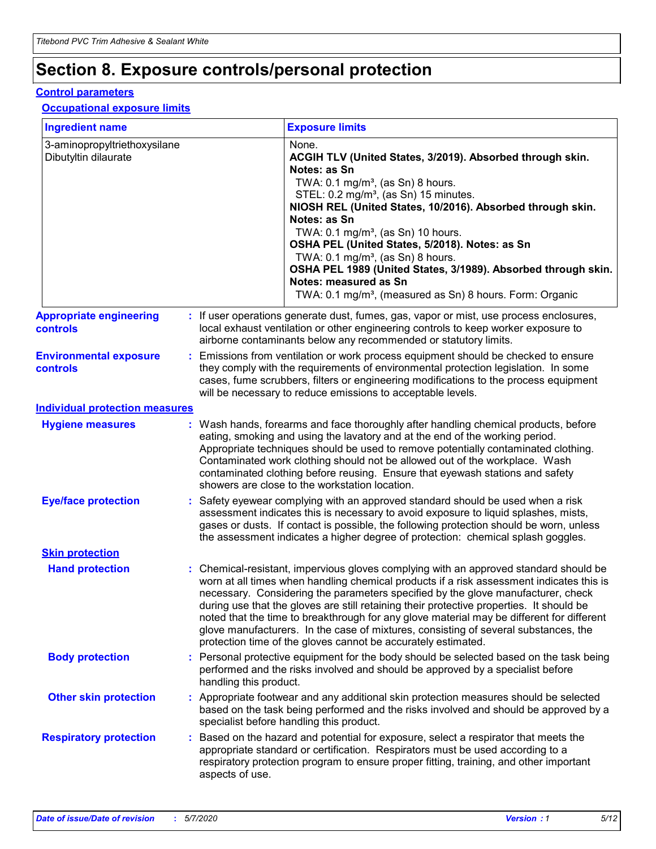# **Section 8. Exposure controls/personal protection**

#### **Control parameters**

#### **Occupational exposure limits**

| <b>Ingredient name</b>                               |    |                        | <b>Exposure limits</b>                                                                                                                                                                                                                                                                                                                                                                                                                                                                                                                                                                                                 |
|------------------------------------------------------|----|------------------------|------------------------------------------------------------------------------------------------------------------------------------------------------------------------------------------------------------------------------------------------------------------------------------------------------------------------------------------------------------------------------------------------------------------------------------------------------------------------------------------------------------------------------------------------------------------------------------------------------------------------|
| 3-aminopropyltriethoxysilane<br>Dibutyltin dilaurate |    |                        | None.<br>ACGIH TLV (United States, 3/2019). Absorbed through skin.<br>Notes: as Sn<br>TWA: $0.1 \text{ mg/m}^3$ , (as Sn) 8 hours.<br>STEL: 0.2 mg/m <sup>3</sup> , (as Sn) 15 minutes.<br>NIOSH REL (United States, 10/2016). Absorbed through skin.<br>Notes: as Sn<br>TWA: 0.1 mg/m <sup>3</sup> , (as Sn) 10 hours.<br>OSHA PEL (United States, 5/2018). Notes: as Sn<br>TWA: $0.1 \text{ mg/m}^3$ , (as Sn) 8 hours.<br>OSHA PEL 1989 (United States, 3/1989). Absorbed through skin.<br>Notes: measured as Sn<br>TWA: 0.1 mg/m <sup>3</sup> , (measured as Sn) 8 hours. Form: Organic                            |
| <b>Appropriate engineering</b><br>controls           |    |                        | : If user operations generate dust, fumes, gas, vapor or mist, use process enclosures,<br>local exhaust ventilation or other engineering controls to keep worker exposure to<br>airborne contaminants below any recommended or statutory limits.                                                                                                                                                                                                                                                                                                                                                                       |
| <b>Environmental exposure</b><br>controls            |    |                        | Emissions from ventilation or work process equipment should be checked to ensure<br>they comply with the requirements of environmental protection legislation. In some<br>cases, fume scrubbers, filters or engineering modifications to the process equipment<br>will be necessary to reduce emissions to acceptable levels.                                                                                                                                                                                                                                                                                          |
| <b>Individual protection measures</b>                |    |                        |                                                                                                                                                                                                                                                                                                                                                                                                                                                                                                                                                                                                                        |
| <b>Hygiene measures</b>                              |    |                        | : Wash hands, forearms and face thoroughly after handling chemical products, before<br>eating, smoking and using the lavatory and at the end of the working period.<br>Appropriate techniques should be used to remove potentially contaminated clothing.<br>Contaminated work clothing should not be allowed out of the workplace. Wash<br>contaminated clothing before reusing. Ensure that eyewash stations and safety<br>showers are close to the workstation location.                                                                                                                                            |
| <b>Eye/face protection</b>                           |    |                        | : Safety eyewear complying with an approved standard should be used when a risk<br>assessment indicates this is necessary to avoid exposure to liquid splashes, mists,<br>gases or dusts. If contact is possible, the following protection should be worn, unless<br>the assessment indicates a higher degree of protection: chemical splash goggles.                                                                                                                                                                                                                                                                  |
| <b>Skin protection</b>                               |    |                        |                                                                                                                                                                                                                                                                                                                                                                                                                                                                                                                                                                                                                        |
| <b>Hand protection</b>                               |    |                        | : Chemical-resistant, impervious gloves complying with an approved standard should be<br>worn at all times when handling chemical products if a risk assessment indicates this is<br>necessary. Considering the parameters specified by the glove manufacturer, check<br>during use that the gloves are still retaining their protective properties. It should be<br>noted that the time to breakthrough for any glove material may be different for different<br>glove manufacturers. In the case of mixtures, consisting of several substances, the<br>protection time of the gloves cannot be accurately estimated. |
| <b>Body protection</b>                               |    | handling this product. | Personal protective equipment for the body should be selected based on the task being<br>performed and the risks involved and should be approved by a specialist before                                                                                                                                                                                                                                                                                                                                                                                                                                                |
| <b>Other skin protection</b>                         |    |                        | : Appropriate footwear and any additional skin protection measures should be selected<br>based on the task being performed and the risks involved and should be approved by a<br>specialist before handling this product.                                                                                                                                                                                                                                                                                                                                                                                              |
| <b>Respiratory protection</b>                        | ÷. | aspects of use.        | Based on the hazard and potential for exposure, select a respirator that meets the<br>appropriate standard or certification. Respirators must be used according to a<br>respiratory protection program to ensure proper fitting, training, and other important                                                                                                                                                                                                                                                                                                                                                         |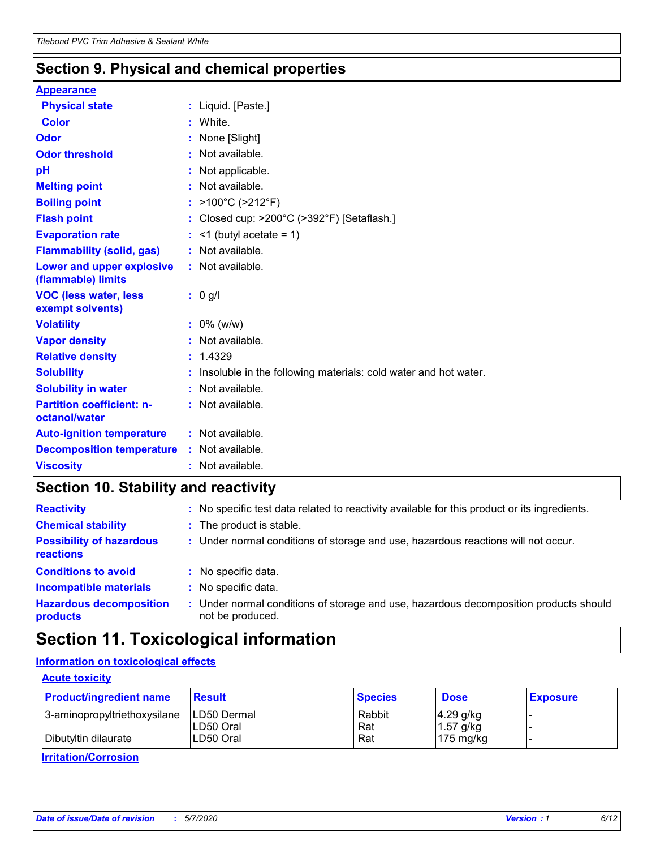### **Section 9. Physical and chemical properties**

#### **Appearance**

| <b>Physical state</b>                             | : Liquid. [Paste.]                                              |
|---------------------------------------------------|-----------------------------------------------------------------|
| <b>Color</b>                                      | White.                                                          |
| Odor                                              | None [Slight]                                                   |
| <b>Odor threshold</b>                             | : Not available.                                                |
| рH                                                | : Not applicable.                                               |
| <b>Melting point</b>                              | : Not available.                                                |
| <b>Boiling point</b>                              | : >100°C (>212°F)                                               |
| <b>Flash point</b>                                | Closed cup: >200°C (>392°F) [Setaflash.]                        |
| <b>Evaporation rate</b>                           | $:$ <1 (butyl acetate = 1)                                      |
| <b>Flammability (solid, gas)</b>                  | : Not available.                                                |
| Lower and upper explosive<br>(flammable) limits   | : Not available.                                                |
| <b>VOC (less water, less)</b><br>exempt solvents) | $: 0$ g/l                                                       |
| <b>Volatility</b>                                 | $: 0\%$ (w/w)                                                   |
| <b>Vapor density</b>                              | : Not available.                                                |
| <b>Relative density</b>                           | : 1.4329                                                        |
| <b>Solubility</b>                                 | Insoluble in the following materials: cold water and hot water. |
| <b>Solubility in water</b>                        | : Not available.                                                |
| <b>Partition coefficient: n-</b><br>octanol/water | $:$ Not available.                                              |
| <b>Auto-ignition temperature</b>                  | : Not available.                                                |
|                                                   |                                                                 |
| <b>Decomposition temperature</b>                  | : Not available.                                                |

### **Section 10. Stability and reactivity**

| <b>Reactivity</b>                            |    | : No specific test data related to reactivity available for this product or its ingredients.            |
|----------------------------------------------|----|---------------------------------------------------------------------------------------------------------|
| <b>Chemical stability</b>                    |    | : The product is stable.                                                                                |
| <b>Possibility of hazardous</b><br>reactions |    | : Under normal conditions of storage and use, hazardous reactions will not occur.                       |
| <b>Conditions to avoid</b>                   |    | : No specific data.                                                                                     |
| <b>Incompatible materials</b>                | ٠. | No specific data.                                                                                       |
| <b>Hazardous decomposition</b><br>products   | ÷. | Under normal conditions of storage and use, hazardous decomposition products should<br>not be produced. |

# **Section 11. Toxicological information**

### **Information on toxicological effects**

#### **Acute toxicity**

| <b>Product/ingredient name</b> | <b>Result</b>           | <b>Species</b> | <b>Dose</b>                | <b>Exposure</b> |
|--------------------------------|-------------------------|----------------|----------------------------|-----------------|
| 3-aminopropyltriethoxysilane   | <b>ILD50 Dermal</b>     | Rabbit         | 4.29 g/kg                  |                 |
| Dibutyltin dilaurate           | ILD50 Oral<br>LD50 Oral | Rat<br>Rat     | $1.57$ g/kg<br>175 $mg/kg$ |                 |
|                                |                         |                |                            |                 |

**Irritation/Corrosion**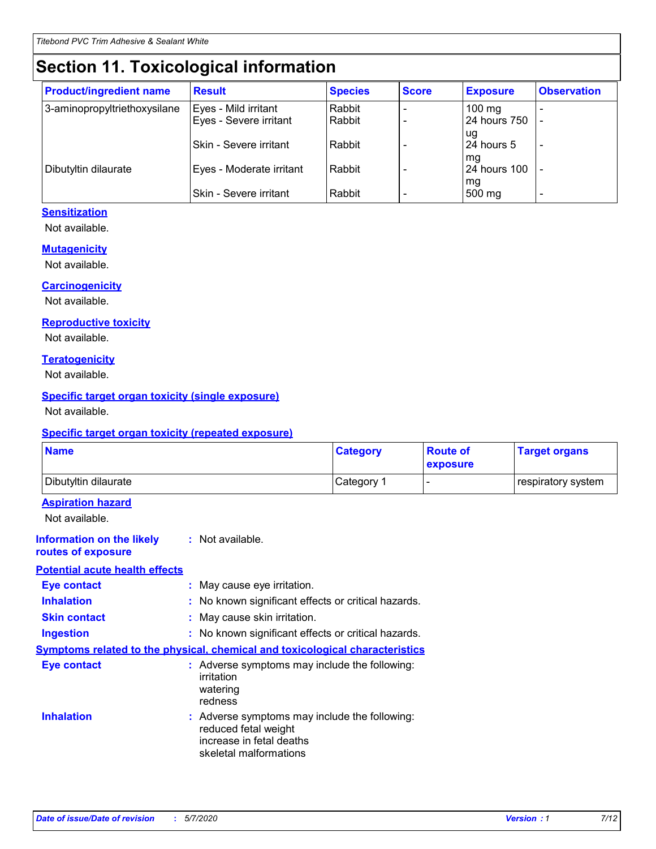# **Section 11. Toxicological information**

| <b>Product/ingredient name</b> | <b>Result</b>            | <b>Species</b> | <b>Score</b> | <b>Exposure</b>           | <b>Observation</b> |
|--------------------------------|--------------------------|----------------|--------------|---------------------------|--------------------|
| 3-aminopropyltriethoxysilane   | Eyes - Mild irritant     | Rabbit         |              | $100$ mg                  |                    |
|                                | Eyes - Severe irritant   | Rabbit         |              | 24 hours 750              |                    |
|                                |                          |                |              | ug                        |                    |
|                                | Skin - Severe irritant   | Rabbit         |              | 24 hours 5                | -                  |
| Dibutyltin dilaurate           | Eyes - Moderate irritant | Rabbit         |              | mq<br><b>24 hours 100</b> |                    |
|                                |                          |                |              | mg                        |                    |
|                                | Skin - Severe irritant   | Rabbit         |              | 500 mg                    |                    |

#### **Sensitization**

Not available.

#### **Mutagenicity**

Not available.

#### **Carcinogenicity**

Not available.

#### **Reproductive toxicity**

Not available.

#### **Teratogenicity**

Not available.

#### **Specific target organ toxicity (single exposure)**

Not available.

#### **Specific target organ toxicity (repeated exposure)**

| <b>Name</b>                                                                  |                                                                            | <b>Category</b>                                     | <b>Route of</b><br>exposure | <b>Target organs</b> |
|------------------------------------------------------------------------------|----------------------------------------------------------------------------|-----------------------------------------------------|-----------------------------|----------------------|
| Dibutyltin dilaurate                                                         |                                                                            | Category 1                                          | -                           | respiratory system   |
| <b>Aspiration hazard</b><br>Not available.                                   |                                                                            |                                                     |                             |                      |
| <b>Information on the likely</b><br>routes of exposure                       | : Not available.                                                           |                                                     |                             |                      |
| <b>Potential acute health effects</b>                                        |                                                                            |                                                     |                             |                      |
| <b>Eye contact</b>                                                           | : May cause eye irritation.                                                |                                                     |                             |                      |
| <b>Inhalation</b>                                                            |                                                                            | : No known significant effects or critical hazards. |                             |                      |
| <b>Skin contact</b>                                                          | : May cause skin irritation.                                               |                                                     |                             |                      |
| <b>Ingestion</b>                                                             |                                                                            | : No known significant effects or critical hazards. |                             |                      |
| Symptoms related to the physical, chemical and toxicological characteristics |                                                                            |                                                     |                             |                      |
| <b>Eye contact</b>                                                           | irritation<br>watering<br>redness                                          | : Adverse symptoms may include the following:       |                             |                      |
| <b>Inhalation</b>                                                            | reduced fetal weight<br>increase in fetal deaths<br>skeletal malformations | : Adverse symptoms may include the following:       |                             |                      |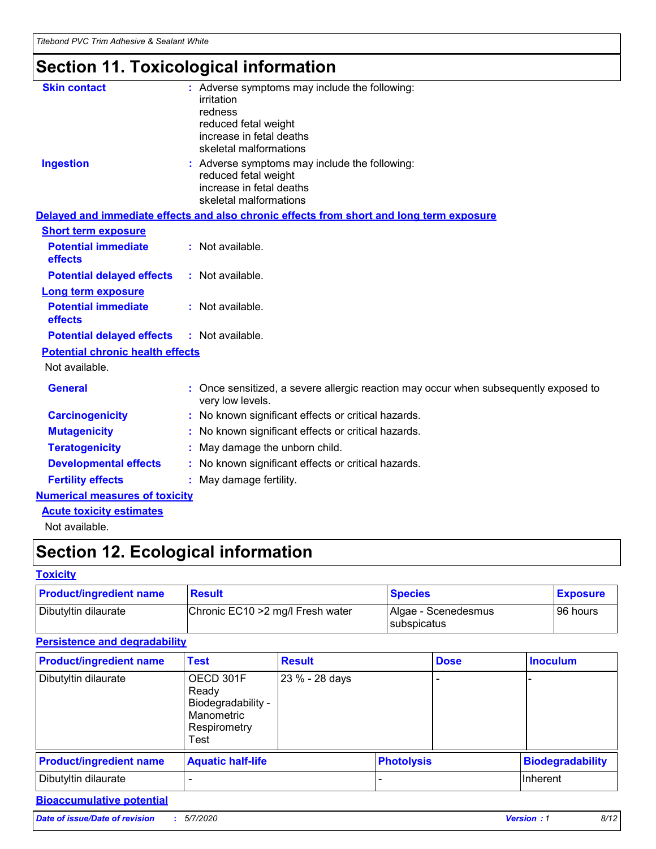# **Section 11. Toxicological information**

| <b>Skin contact</b>                     |                                                                                                          |
|-----------------------------------------|----------------------------------------------------------------------------------------------------------|
|                                         | : Adverse symptoms may include the following:<br>irritation                                              |
|                                         | redness                                                                                                  |
|                                         | reduced fetal weight                                                                                     |
|                                         | increase in fetal deaths                                                                                 |
|                                         | skeletal malformations                                                                                   |
| <b>Ingestion</b>                        | : Adverse symptoms may include the following:                                                            |
|                                         | reduced fetal weight                                                                                     |
|                                         | increase in fetal deaths                                                                                 |
|                                         | skeletal malformations                                                                                   |
|                                         | Delayed and immediate effects and also chronic effects from short and long term exposure                 |
| <b>Short term exposure</b>              |                                                                                                          |
| <b>Potential immediate</b>              | : Not available.                                                                                         |
| effects                                 |                                                                                                          |
| <b>Potential delayed effects</b>        | : Not available.                                                                                         |
| <b>Long term exposure</b>               |                                                                                                          |
| <b>Potential immediate</b>              | : Not available.                                                                                         |
| effects                                 |                                                                                                          |
| <b>Potential delayed effects</b>        | : Not available.                                                                                         |
| <b>Potential chronic health effects</b> |                                                                                                          |
| Not available.                          |                                                                                                          |
| <b>General</b>                          | : Once sensitized, a severe allergic reaction may occur when subsequently exposed to<br>very low levels. |
| <b>Carcinogenicity</b>                  | : No known significant effects or critical hazards.                                                      |
| <b>Mutagenicity</b>                     | No known significant effects or critical hazards.                                                        |
| <b>Teratogenicity</b>                   | May damage the unborn child.                                                                             |
| <b>Developmental effects</b>            | No known significant effects or critical hazards.                                                        |
| <b>Fertility effects</b>                | : May damage fertility.                                                                                  |
| <b>Numerical measures of toxicity</b>   |                                                                                                          |
| <b>Acute toxicity estimates</b>         |                                                                                                          |
|                                         |                                                                                                          |

Not available.

# **Section 12. Ecological information**

#### **Toxicity**

| <b>Product/ingredient name</b> | <b>Result</b>                     | <b>Species</b>                       | <b>Exposure</b> |
|--------------------------------|-----------------------------------|--------------------------------------|-----------------|
| Dibutyltin dilaurate           | Chronic EC10 > 2 mg/l Fresh water | Algae - Scenedesmus<br>I subspicatus | l 96 hours      |

#### **Persistence and degradability**

| <b>Product/ingredient name</b> | Test                                                                           | <b>Result</b>  |  | <b>Dose</b>       | <b>Inoculum</b>         |
|--------------------------------|--------------------------------------------------------------------------------|----------------|--|-------------------|-------------------------|
| Dibutyltin dilaurate           | OECD 301F<br>Ready<br>Biodegradability -<br>Manometric<br>Respirometry<br>Test | 23 % - 28 days |  |                   |                         |
| <b>Product/ingredient name</b> | <b>Aquatic half-life</b>                                                       |                |  | <b>Photolysis</b> | <b>Biodegradability</b> |
| Dibutyltin dilaurate           |                                                                                |                |  |                   | Inherent                |

### **Bioaccumulative potential**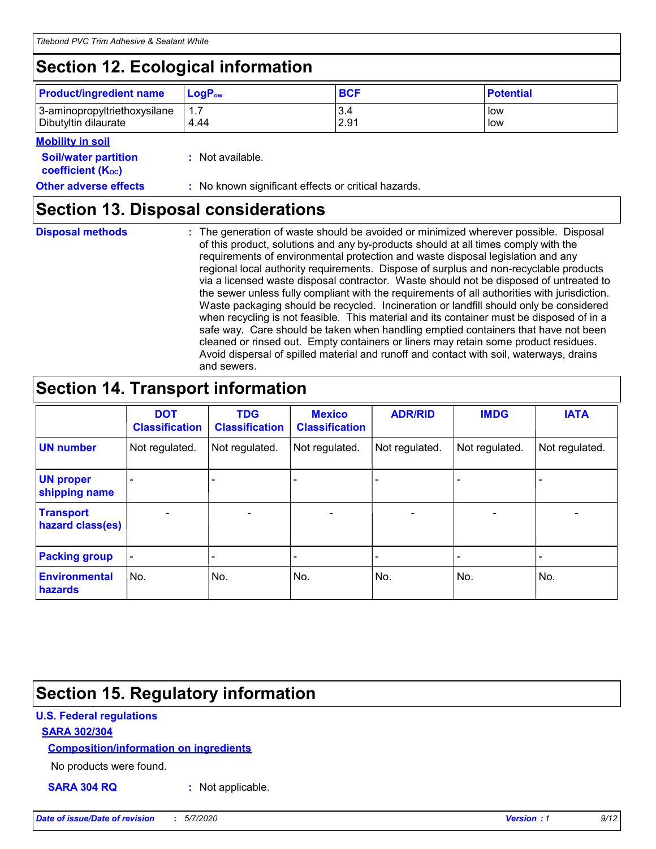# **Section 12. Ecological information**

| <b>Product/ingredient name</b>                       | ∣LoqP <sub>ow</sub> | <b>BCF</b>  | <b>Potential</b> |
|------------------------------------------------------|---------------------|-------------|------------------|
| 3-aminopropyltriethoxysilane<br>Dibutyltin dilaurate | 4.44                | 3.4<br>2.91 | low<br>low       |

#### **Mobility in soil**

| <i></i>                                                       |                                                     |
|---------------------------------------------------------------|-----------------------------------------------------|
| <b>Soil/water partition</b><br>coefficient (K <sub>oc</sub> ) | : Not available.                                    |
| <b>Other adverse effects</b>                                  | : No known significant effects or critical hazards. |

### **Section 13. Disposal considerations**

| <b>Disposal methods</b> |  |  |
|-------------------------|--|--|

**Disposal methods** : The generation of waste should be avoided or minimized wherever possible. Disposal of this product, solutions and any by-products should at all times comply with the requirements of environmental protection and waste disposal legislation and any regional local authority requirements. Dispose of surplus and non-recyclable products via a licensed waste disposal contractor. Waste should not be disposed of untreated to the sewer unless fully compliant with the requirements of all authorities with jurisdiction. Waste packaging should be recycled. Incineration or landfill should only be considered when recycling is not feasible. This material and its container must be disposed of in a safe way. Care should be taken when handling emptied containers that have not been cleaned or rinsed out. Empty containers or liners may retain some product residues. Avoid dispersal of spilled material and runoff and contact with soil, waterways, drains and sewers.

# **Section 14. Transport information**

|                                        | <b>DOT</b><br><b>Classification</b> | <b>TDG</b><br><b>Classification</b> | <b>Mexico</b><br><b>Classification</b> | <b>ADR/RID</b>           | <b>IMDG</b>                  | <b>IATA</b>    |
|----------------------------------------|-------------------------------------|-------------------------------------|----------------------------------------|--------------------------|------------------------------|----------------|
| <b>UN number</b>                       | Not regulated.                      | Not regulated.                      | Not regulated.                         | Not regulated.           | Not regulated.               | Not regulated. |
| <b>UN proper</b><br>shipping name      |                                     |                                     |                                        |                          |                              |                |
| <b>Transport</b><br>hazard class(es)   | $\qquad \qquad \blacksquare$        | $\qquad \qquad \blacksquare$        | $\overline{\phantom{a}}$               | $\overline{\phantom{a}}$ | $\overline{\phantom{a}}$     | $\blacksquare$ |
| <b>Packing group</b>                   | $\overline{\phantom{a}}$            |                                     |                                        |                          | $\qquad \qquad \blacksquare$ |                |
| <b>Environmental</b><br><b>hazards</b> | No.                                 | No.                                 | No.                                    | No.                      | No.                          | No.            |

# **Section 15. Regulatory information**

#### **U.S. Federal regulations**

#### **SARA 302/304**

#### **Composition/information on ingredients**

No products were found.

**SARA 304 RQ :** Not applicable.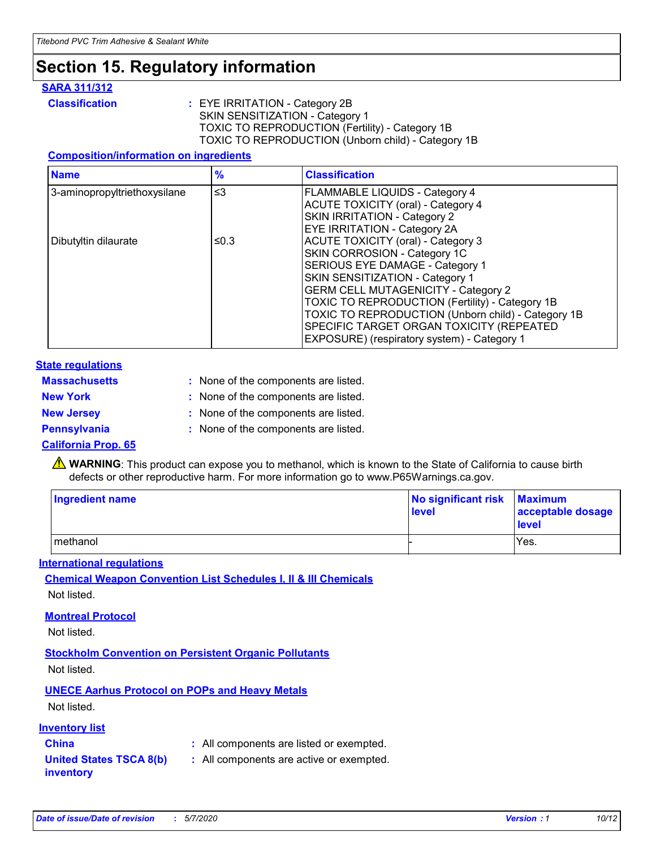# **Section 15. Regulatory information**

#### **SARA 311/312**

**Classification :** EYE IRRITATION - Category 2B SKIN SENSITIZATION - Category 1 TOXIC TO REPRODUCTION (Fertility) - Category 1B TOXIC TO REPRODUCTION (Unborn child) - Category 1B

#### **Composition/information on ingredients**

| <b>Name</b>                  | $\frac{9}{6}$ | <b>Classification</b>                                                                                            |
|------------------------------|---------------|------------------------------------------------------------------------------------------------------------------|
| 3-aminopropyltriethoxysilane | $\leq$ 3      | <b>FLAMMABLE LIQUIDS - Category 4</b><br><b>ACUTE TOXICITY (oral) - Category 4</b>                               |
|                              |               | SKIN IRRITATION - Category 2<br>EYE IRRITATION - Category 2A                                                     |
| Dibutyltin dilaurate         | ≤0.3          | ACUTE TOXICITY (oral) - Category 3<br>SKIN CORROSION - Category 1C                                               |
|                              |               | SERIOUS EYE DAMAGE - Category 1<br>SKIN SENSITIZATION - Category 1<br><b>GERM CELL MUTAGENICITY - Category 2</b> |
|                              |               | TOXIC TO REPRODUCTION (Fertility) - Category 1B<br>TOXIC TO REPRODUCTION (Unborn child) - Category 1B            |
|                              |               | SPECIFIC TARGET ORGAN TOXICITY (REPEATED<br>EXPOSURE) (respiratory system) - Category 1                          |

#### **State regulations**

| <b>Massachusetts</b> | : None of the components are listed. |
|----------------------|--------------------------------------|
| <b>New York</b>      | : None of the components are listed. |
| <b>New Jersey</b>    | : None of the components are listed. |
| <b>Pennsylvania</b>  | : None of the components are listed. |

#### **California Prop. 65**

**A** WARNING: This product can expose you to methanol, which is known to the State of California to cause birth defects or other reproductive harm. For more information go to www.P65Warnings.ca.gov.

| <b>Ingredient name</b> | No significant risk Maximum<br>level | acceptable dosage<br>level |
|------------------------|--------------------------------------|----------------------------|
| methanol               |                                      | Yes.                       |

#### **International regulations**

**Chemical Weapon Convention List Schedules I, II & III Chemicals** Not listed.

#### **Montreal Protocol**

Not listed.

**Stockholm Convention on Persistent Organic Pollutants**

Not listed.

### **UNECE Aarhus Protocol on POPs and Heavy Metals**

Not listed.

#### **Inventory list**

- **China :** All components are listed or exempted.
- **United States TSCA 8(b) inventory :** All components are active or exempted.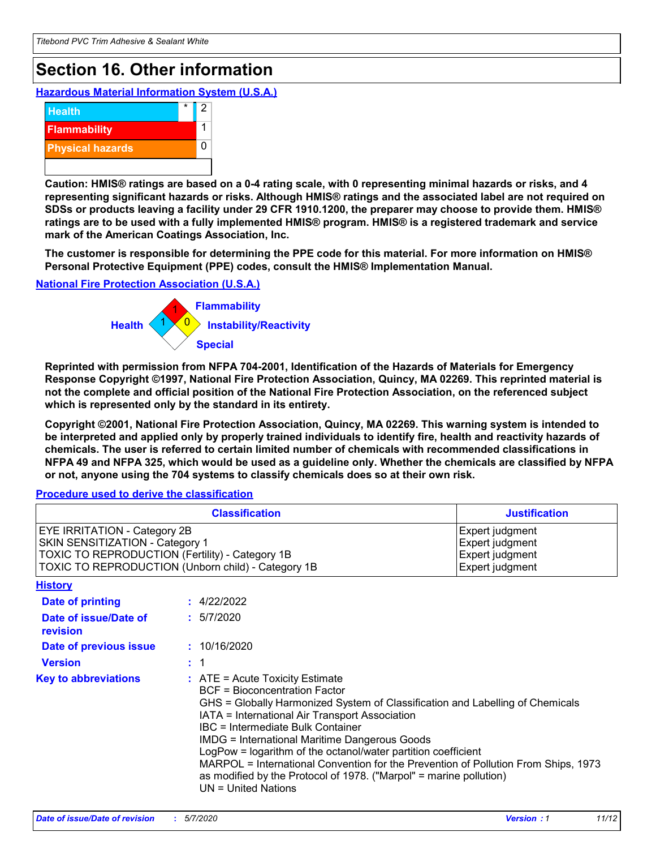# **Section 16. Other information**

**Hazardous Material Information System (U.S.A.)**



**Caution: HMIS® ratings are based on a 0-4 rating scale, with 0 representing minimal hazards or risks, and 4 representing significant hazards or risks. Although HMIS® ratings and the associated label are not required on SDSs or products leaving a facility under 29 CFR 1910.1200, the preparer may choose to provide them. HMIS® ratings are to be used with a fully implemented HMIS® program. HMIS® is a registered trademark and service mark of the American Coatings Association, Inc.**

**The customer is responsible for determining the PPE code for this material. For more information on HMIS® Personal Protective Equipment (PPE) codes, consult the HMIS® Implementation Manual.**

#### **National Fire Protection Association (U.S.A.)**



**Reprinted with permission from NFPA 704-2001, Identification of the Hazards of Materials for Emergency Response Copyright ©1997, National Fire Protection Association, Quincy, MA 02269. This reprinted material is not the complete and official position of the National Fire Protection Association, on the referenced subject which is represented only by the standard in its entirety.**

**Copyright ©2001, National Fire Protection Association, Quincy, MA 02269. This warning system is intended to be interpreted and applied only by properly trained individuals to identify fire, health and reactivity hazards of chemicals. The user is referred to certain limited number of chemicals with recommended classifications in NFPA 49 and NFPA 325, which would be used as a guideline only. Whether the chemicals are classified by NFPA or not, anyone using the 704 systems to classify chemicals does so at their own risk.**

#### **Procedure used to derive the classification**

|                                                                                                                    | <b>Classification</b>                                                                                                                                                                                                                                                                                                                                                                                                                                                                                                                                         | <b>Justification</b>                                                     |
|--------------------------------------------------------------------------------------------------------------------|---------------------------------------------------------------------------------------------------------------------------------------------------------------------------------------------------------------------------------------------------------------------------------------------------------------------------------------------------------------------------------------------------------------------------------------------------------------------------------------------------------------------------------------------------------------|--------------------------------------------------------------------------|
| EYE IRRITATION - Category 2B<br>SKIN SENSITIZATION - Category 1<br>TOXIC TO REPRODUCTION (Fertility) - Category 1B | TOXIC TO REPRODUCTION (Unborn child) - Category 1B                                                                                                                                                                                                                                                                                                                                                                                                                                                                                                            | Expert judgment<br>Expert judgment<br>Expert judgment<br>Expert judgment |
| <b>History</b>                                                                                                     |                                                                                                                                                                                                                                                                                                                                                                                                                                                                                                                                                               |                                                                          |
| <b>Date of printing</b>                                                                                            | : 4/22/2022                                                                                                                                                                                                                                                                                                                                                                                                                                                                                                                                                   |                                                                          |
| Date of issue/Date of<br>revision                                                                                  | : 5/7/2020                                                                                                                                                                                                                                                                                                                                                                                                                                                                                                                                                    |                                                                          |
| Date of previous issue                                                                                             | : 10/16/2020                                                                                                                                                                                                                                                                                                                                                                                                                                                                                                                                                  |                                                                          |
| <b>Version</b>                                                                                                     | : 1                                                                                                                                                                                                                                                                                                                                                                                                                                                                                                                                                           |                                                                          |
| <b>Key to abbreviations</b>                                                                                        | $:$ ATE = Acute Toxicity Estimate<br><b>BCF</b> = Bioconcentration Factor<br>GHS = Globally Harmonized System of Classification and Labelling of Chemicals<br>IATA = International Air Transport Association<br>IBC = Intermediate Bulk Container<br><b>IMDG = International Maritime Dangerous Goods</b><br>LogPow = logarithm of the octanol/water partition coefficient<br>MARPOL = International Convention for the Prevention of Pollution From Ships, 1973<br>as modified by the Protocol of 1978. ("Marpol" = marine pollution)<br>UN = United Nations |                                                                          |